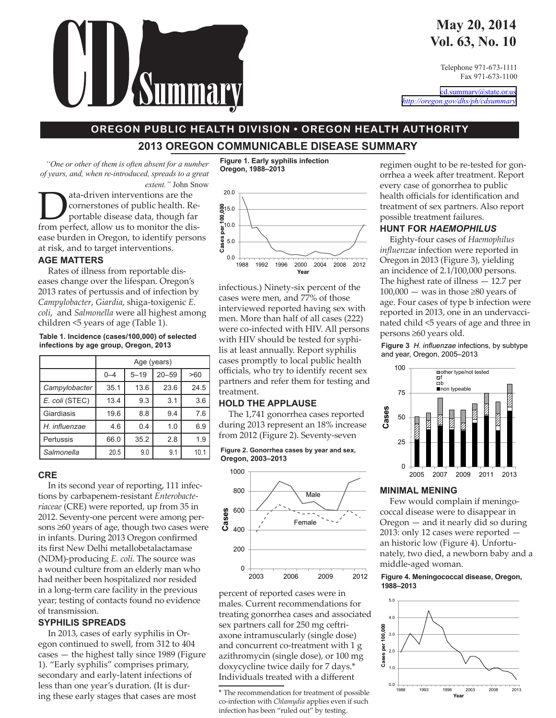### **May 20, 2014 Vol. 63, No. 10**

Telephone 971-673-1111 Fax 971-673-1100

[cd.summary@state.or.us](mailto:cd.summary@state.or.us) *[http://oregon.gov/dhs/ph/cdsummary](http://www.ohd.hr.state.or.us/cdpe/)*

# **OREGON PUBLIC HEALTH DIVISION . OREGON HEALTH AUTHORITY**

**2013 OREGON COMMUNICABLE DISEASE SUMMARY** 

*"One or other of them is often absent for a number of years, and, when re-introduced, spreads to a great extent."* John Snow

ata-driven interventions are the<br>
portable disease data, though far<br>
from perfect allow us to monitor the discornerstones of public health. Refrom perfect, allow us to monitor the disease burden in Oregon, to identify persons at risk, and to target interventions.

### **AGE MATTERS**

Rates of illness from reportable diseases change over the lifespan. Oregon's 2013 rates of pertussis and of infection by *Campylobacter*, *Giardia*, shiga-toxigenic *E. coli*, and *Salmonella* were all highest among children <5 years of age (Table 1).

#### **Table 1. Incidence (cases/100,000) of selected infections by age group, Oregon, 2013**

|                | Age (years) |          |           |                 |  |  |  |  |  |  |
|----------------|-------------|----------|-----------|-----------------|--|--|--|--|--|--|
|                | $0 - 4$     | $5 - 19$ | $20 - 59$ | >60             |  |  |  |  |  |  |
| Campylobacter  | 35.1        | 13.6     | 23.6      | 24.5            |  |  |  |  |  |  |
| E. coli (STEC) | 13.4        | 9.3      | 3.1       | 3.6             |  |  |  |  |  |  |
| Giardiasis     | 19.6        | 8.8      | 9.4       | 7.6             |  |  |  |  |  |  |
| H. influenzae  | 4.6         | 0.4      | 1.0       | 6.9             |  |  |  |  |  |  |
| Pertussis      | 66.0        | 35.2     | 2.8       | 1.9             |  |  |  |  |  |  |
| Salmonella     | 20.5        | 9.0      | 9.1       | 10 <sub>1</sub> |  |  |  |  |  |  |

### **CRE**

In its second year of reporting, 111 infections by carbapenem-resistant *Enterobacteriaceae* (CRE) were reported, up from 35 in 2012. Seventy-one percent were among persons ≥60 years of age, though two cases were in infants. During 2013 Oregon confirmed its first New Delhi metallobetalactamase (NDM)-producing *E. coli*. The source was a wound culture from an elderly man who had neither been hospitalized nor resided in a long-term care facility in the previous year; testing of contacts found no evidence of transmission.

### **SYPHILIS SPREADS**

In 2013, cases of early syphilis in Oregon continued to swell, from 312 to 404 cases — the highest tally since 1989 (Figure 1). "Early syphilis" comprises primary, secondary and early-latent infections of less than one year's duration. (It is during these early stages that cases are most

**Figure 1. Early syphilis infection Oregon, 1988–2013**



infectious.) Ninety-six percent of the cases were men, and 77% of those interviewed reported having sex with men. More than half of all cases (222) were co-infected with HIV. All persons with HIV should be tested for syphilis at least annually. Report syphilis cases promptly to local public health officials, who try to identify recent sex partners and refer them for testing and treatment.

### **HOLD THE APPLAUSE**

The 1,741 gonorrhea cases reported during 2013 represent an 18% increase from 2012 (Figure 2). Seventy-seven

**Figure 2. Gonorrhea cases by year and sex, Oregon, 2003–2013**



percent of reported cases were in males. Current recommendations for treating gonorrhea cases and associated sex partners call for 250 mg ceftriaxone intramuscularly (single dose) and concurrent co-treatment with 1 g azithromycin (single dose), or 100 mg doxycycline twice daily for 7 days.\* Individuals treated with a different

regimen ought to be re-tested for gonorrhea a week after treatment. Report every case of gonorrhea to public health officials for identification and treatment of sex partners. Also report possible treatment failures.

### **HUNT FOR** *HAEMOPHILUS*

Eighty-four cases of *Haemophilus influenzae* infection were reported in Oregon in 2013 (Figure 3), yielding an incidence of 2.1/100,000 persons. The highest rate of illness — 12.7 per  $100,000$  — was in those ≥80 years of age. Four cases of type b infection were reported in 2013, one in an undervaccinated child <5 years of age and three in persons ≥60 years old.

**Figure 3** *H. influenzae* infections, by subtype and year, Oregon, 2005–2013



### **MINIMAL MENING**

Few would complain if meningococcal disease were to disappear in Oregon — and it nearly did so during 2013: only 12 cases were reported an historic low (Figure 4). Unfortunately, two died, a newborn baby and a middle-aged woman.

### **Figure 4. Meningococcal disease, Oregon, 1988–2013**



<sup>\*</sup> The recommendation for treatment of possible co-infection with *Chlamydia* applies even if such infection has been "ruled out" by testing.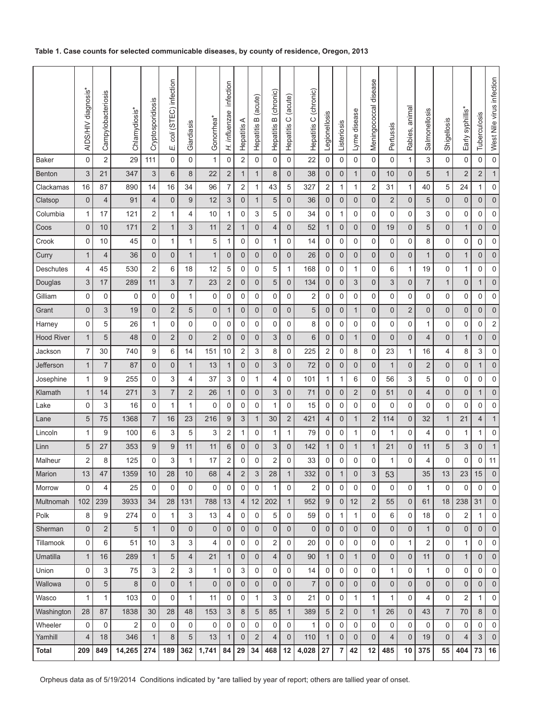### **Table 1. Case counts for selected communicable diseases, by county of residence, Oregon, 2013**

|                   | AIDS/HIV diagnosis* | Campylobacteriosis      | Chlamydiosis* | Cryptosporidiosis         | coli (STEC) infection<br>Щ | Giardiasis     | Gonorrhea*     | infection<br>H. influenzae | Hepatitis A    | B (acute)<br>Hepatitis | B (chronic)<br>Hepatitis | Hepatitis C (acute) | Hepatitis C (chronic) | Legionellosis  | Listeriosis    | Lyme disease              | Meningococcal disease | Pertussis      | Rabies, animal | Salmonellosis  | Shigellosis    | Early syphillis* | Tuberculosis   | West Nile virus infection |
|-------------------|---------------------|-------------------------|---------------|---------------------------|----------------------------|----------------|----------------|----------------------------|----------------|------------------------|--------------------------|---------------------|-----------------------|----------------|----------------|---------------------------|-----------------------|----------------|----------------|----------------|----------------|------------------|----------------|---------------------------|
| <b>Baker</b>      | $\mathbf 0$         | $\overline{\mathbf{c}}$ | 29            | 111                       | $\mathbf 0$                | 0              | 1              | $\mathbf 0$                | $\sqrt{2}$     | 0                      | 0                        | 0                   | 22                    | $\mathbf 0$    | 0              | 0                         | $\mathsf 0$           | $\pmb{0}$      | $\mathbf{1}$   | 3              | $\mathbf 0$    | $\pmb{0}$        | 0              | $\mathbf 0$               |
| Benton            | 3                   | 21                      | 347           | $\ensuremath{\mathsf{3}}$ | $\,$ 6 $\,$                | 8              | 22             | $\overline{c}$             | $\mathbf{1}$   | 1                      | $\bf 8$                  | 0                   | 38                    | $\mathbf 0$    | $\mathbf 0$    | $\mathbf{1}$              | $\pmb{0}$             | 10             | $\mathbf 0$    | $\mathbf 5$    | $\mathbf{1}$   | $\overline{2}$   | $\mathbf 2$    | $\mathbf{1}$              |
| Clackamas         | 16                  | 87                      | 890           | 14                        | 16                         | 34             | 96             | $\overline{7}$             | $\overline{c}$ | 1                      | 43                       | 5                   | 327                   | $\overline{c}$ | 1              | 1                         | $\boldsymbol{2}$      | 31             | 1              | 40             | 5              | 24               | 1              | $\mathbf 0$               |
| Clatsop           | $\mathbf 0$         | 4                       | 91            | $\overline{4}$            | $\mathbf 0$                | 9              | 12             | 3                          | $\theta$       | $\mathbf{1}$           | 5                        | 0                   | 36                    | $\overline{0}$ | $\mathbf 0$    | $\mathbf 0$               | $\mathsf 0$           | $\sqrt{2}$     | $\mathbf 0$    | 5              | 0              | $\mathbf 0$      | $\mathbf 0$    | $\mathsf{O}\xspace$       |
| Columbia          | 1                   | 17                      | 121           | 2                         | 1                          | 4              | 10             | 1                          | 0              | 3                      | 5                        | 0                   | 34                    | $\mathbf 0$    | 1              | 0                         | 0                     | 0              | $\pmb{0}$      | 3              | 0              | 0                | 0              | $\mathbf 0$               |
| Coos              | $\mathbf 0$         | 10                      | 171           | $\sqrt{2}$                | $\mathbf{1}$               | 3              | 11             | $\overline{c}$             | $\mathbf{1}$   | $\mathbf 0$            | 4                        | 0                   | 52                    | $\mathbf{1}$   | $\mathbf 0$    | $\mathbf 0$               | $\mathbf 0$           | 19             | $\mathbf 0$    | 5              | $\mathbf 0$    | $\mathbf{1}$     | $\mathbf 0$    | $\mathsf{O}\xspace$       |
| Crook             | 0                   | 10                      | 45            | 0                         | 1                          | 1              | 5              | 1                          | 0              | 0                      | 1                        | 0                   | 14                    | $\pmb{0}$      | 0              | 0                         | 0                     | $\mathbf 0$    | 0              | 8              | 0              | 0                | 0              | $\mathbf 0$               |
| Curry             | $\mathbf{1}$        | $\overline{4}$          | 36            | $\mathbf 0$               | $\mathbf 0$                | $\mathbf{1}$   | $\mathbf{1}$   | $\mathbf 0$                | $\theta$       | $\overline{0}$         | $\mathsf 0$              | $\mathbf 0$         | 26                    | $\mathbf 0$    | $\mathbf 0$    | $\mathsf 0$               | $\pmb{0}$             | 0              | $\mathbf 0$    | $\mathbf{1}$   | 0              | $\mathbf{1}$     | $\mathbf 0$    | $\pmb{0}$                 |
| Deschutes         | 4                   | 45                      | 530           | $\overline{2}$            | 6                          | 18             | 12             | 5                          | 0              | 0                      | 5                        | 1                   | 168                   | 0              | 0              | 1                         | 0                     | 6              | $\mathbf{1}$   | 19             | 0              | 1                | 0              | 0                         |
| Douglas           | 3                   | 17                      | 289           | 11                        | $\ensuremath{\mathsf{3}}$  | $\overline{7}$ | 23             | $\sqrt{2}$                 | $\mathbf 0$    | 0                      | 5                        | 0                   | 134                   | $\mathbf 0$    | $\mathbf 0$    | $\ensuremath{\mathsf{3}}$ | $\pmb{0}$             | 3              | 0              | $\overline{7}$ | $\mathbf{1}$   | $\mathbf 0$      | $\mathbf{1}$   | $\pmb{0}$                 |
| Gilliam           | 0                   | 0                       | 0             | 0                         | $\mathbf 0$                | 1              | 0              | 0                          | 0              | 0                      | 0                        | 0                   | 2                     | 0              | 0              | 0                         | 0                     | 0              | 0              | 0              | 0              | 0                | 0              | 0                         |
| Grant             | 0                   | 3                       | 19            | $\mathbf 0$               | $\overline{2}$             | 5              | $\mathbf 0$    | $\mathbf{1}$               | $\theta$       | 0                      | $\mathbf 0$              | 0                   | 5                     | $\mathbf 0$    | $\mathbf 0$    | $\mathbf{1}$              | $\mathsf 0$           | $\mathbf 0$    | $\overline{2}$ | 0              | 0              | $\mathbf 0$      | 0              | $\pmb{0}$                 |
| Harney            | 0                   | 5                       | 26            | 1                         | $\mathbf 0$                | 0              | 0              | 0                          | 0              | 0                      | 0                        | 0                   | 8                     | 0              | 0              | 0                         | 0                     | $\mathbf 0$    | $\pmb{0}$      | 1              | 0              | 0                | 0              | $\boldsymbol{2}$          |
| <b>Hood River</b> | $\mathbf{1}$        | 5                       | 48            | $\mathbf 0$               | $\mathbf 2$                | $\mathbf 0$    | $\overline{c}$ | $\mathbf 0$                | $\theta$       | 0                      | 3                        | 0                   | 6                     | $\mathbf{0}$   | $\mathbf 0$    | $\mathbf{1}$              | $\mathsf 0$           | $\mathbf 0$    | $\mathbf 0$    | 4              | 0              | $\mathbf{1}$     | 0              | $\mathsf{O}\xspace$       |
| Jackson           | 7                   | 30                      | 740           | 9                         | 6                          | 14             | 151            | 10                         | $\overline{c}$ | 3                      | 8                        | 0                   | 225                   | $\overline{c}$ | 0              | 8                         | $\pmb{0}$             | 23             | $\mathbf{1}$   | 16             | 4              | 8                | 3              | $\pmb{0}$                 |
| Jefferson         | $\mathbf{1}$        | $\overline{7}$          | 87            | $\mathbf 0$               | $\mathbf 0$                | $\mathbf{1}$   | 13             | $\mathbf 1$                | $\theta$       | $\mathsf{O}\xspace$    | 3                        | 0                   | 72                    | $\mathbf{0}$   | $\mathbf 0$    | $\mathbf 0$               | $\mathsf{O}\xspace$   | $\mathbf{1}$   | 0              | $\overline{2}$ | $\mathbf 0$    | $\mathbf 0$      | $\mathbf{1}$   | $\pmb{0}$                 |
| Josephine         | 1                   | 9                       | 255           | $\mathbf 0$               | 3                          | 4              | 37             | 3                          | $\mathbf 0$    | 1                      | 4                        | 0                   | 101                   | 1              | 1              | 6                         | 0                     | 56             | 3              | 5              | 0              | 0                | 0              | 0                         |
| Klamath           | 1                   | 14                      | 271           | $\sqrt{3}$                | $\boldsymbol{7}$           | $\overline{2}$ | 26             | $\mathbf 1$                | $\theta$       | 0                      | 3                        | $\mathbf 0$         | 71                    | $\mathbf{0}$   | $\mathbf 0$    | $\overline{2}$            | $\mathbf 0$           | 51             | 0              | 4              | 0              | $\mathbf 0$      | 1              | $\pmb{0}$                 |
| Lake              | 0                   | 3                       | 16            | $\mathbf 0$               | 1                          | 1              | 0              | 0                          | 0              | 0                      | 1                        | 0                   | 15                    | 0              | 0              | 0                         | 0                     | 0              | $\pmb{0}$      | 0              | 0              | 0                | 0              | 0                         |
| Lane              | 5                   | 75                      | 1368          | $\overline{7}$            | 16                         | 23             | 216            | 9                          | 3              | $\mathbf{1}$           | 30                       | $\mathbf 2$         | 421                   | $\overline{4}$ | $\mathbf 0$    | $\mathbf{1}$              | $\overline{2}$        | 114            | $\mathbf 0$    | 32             | $\mathbf{1}$   | 21               | 4              | $\mathbf{1}$              |
| Lincoln           | $\mathbf{1}$        | 9                       | 100           | 6                         | 3                          | 5              | 3              | $\overline{\mathbf{c}}$    | 1              | 0                      | 1                        | 1                   | 79                    | 0              | 0              | 1                         | 0                     | 1              | $\pmb{0}$      | 4              | 0              | 1                | 1              | 0                         |
| Linn              | 5                   | 27                      | 353           | 9                         | $\boldsymbol{9}$           | 11             | 11             | 6                          | $\theta$       | $\mathsf{O}\xspace$    | 3                        | 0                   | 142                   | $\mathbf{1}$   | $\mathbf 0$    | $\mathbf{1}$              | $\mathbf{1}$          | 21             | $\mathbf 0$    | 11             | 5              | 3                | $\mathbf 0$    | $\mathbf{1}$              |
| Malheur           | 2                   | 8                       | 125           | $\mathbf 0$               | 3                          | 1              | 17             | $\overline{2}$             | 0              | 0                      | 2                        | 0                   | 33                    | 0              | $\mathbf 0$    | $\pmb{0}$                 | 0                     | 1              | 0              | 4              | 0              | 0                | 0              | 11                        |
| Marion            | 13                  | 47                      | 1359          | 10                        | 28                         | $10$           | 68             | 4                          | 2              | 3                      | 28                       | 1                   | 332                   | 0              | 1              | 0                         | 3                     | 53             |                | 35             | 13             | 23               | 15             | 0                         |
| Morrow            | 0                   | 4                       | 25            | $\mathbf 0$               | $\Omega$                   | $\mathbf 0$    | 0              | $\mathbf 0$                | $\mathbf 0$    | $\Omega$               | 1                        | 0                   | 2                     | $\mathbf 0$    | $\mathbf 0$    | $\mathbf 0$               | 0                     | $\Omega$       | $\mathbf 0$    | $\mathbf{1}$   | 0              | 0                | $\Omega$       | $\mathbf 0$               |
| Multnomah         | 102                 | 239                     | 3933          | 34                        | 28                         | 131            | 788            | 13                         | $\overline{4}$ | 12 <sub>1</sub>        | 202                      | $\mathbf{1}$        | 952                   | 9              | $\overline{0}$ | 12                        | 2                     | 55             | $\mathbf{0}$   | 61             | 18             | 238              | 31             | $\mathbf 0$               |
| Polk              | 8                   | 9                       | 274           | $\mathbf 0$               | $\mathbf{1}$               | 3              | 13             | 4                          | $\pmb{0}$      | 0                      | 5                        | 0                   | 59                    | $\mathbf 0$    | $\mathbf{1}$   | $\mathbf{1}$              | 0                     | 6              | 0              | 18             | 0              | 2                | $\mathbf{1}$   | 0                         |
| Sherman           | $\mathbf{0}$        | $\overline{2}$          | 5             | $\mathbf{1}$              | $\mathbf 0$                | $\overline{0}$ | $\mathsf 0$    | $\overline{0}$             | $\overline{0}$ | $\mathbf{0}$           | $\mathsf{O}\xspace$      | $\overline{0}$      | $\mathbf 0$           | $\mathbf 0$    | $\overline{0}$ | $\mathbf{0}$              | $\mathbf{0}$          | $\mathbf{0}$   | $\mathbf 0$    | $\mathbf{1}$   | $\overline{0}$ | $\mathbf 0$      | $\overline{0}$ | $\mathbf 0$               |
| Tillamook         | 0                   | 6                       | 51            | 10                        | 3                          | 3              | $\overline{4}$ | $\mathbf 0$                | $\mathbf 0$    | 0                      | 2                        | 0                   | 20                    | $\mathbf 0$    | $\mathbf 0$    | $\mathbf 0$               | 0                     | $\mathbf 0$    | $\mathbf{1}$   | $\overline{2}$ | 0              | $\mathbf{1}$     | 0              | 0                         |
| Umatilla          | $\mathbf{1}$        | 16                      | 289           | $\mathbf{1}$              | 5                          | 4              | 21             | $\mathbf 1$                | $\overline{0}$ | $\mathbf 0$            | 4                        | 0                   | 90                    | $\mathbf{1}$   | $\overline{0}$ | $\mathbf{1}$              | $\mathsf 0$           | $\mathbf 0$    | $\mathbf 0$    | 11             | 0              | $\mathbf{1}$     | $\overline{0}$ | $\mathbf 0$               |
| Union             | 0                   | 3                       | 75            | 3                         | $\overline{2}$             | 3              | $\mathbf{1}$   | $\mathbf 0$                | 3              | 0                      | 0                        | 0                   | 14                    | $\mathbf 0$    | $\mathbf 0$    | $\mathbf 0$               | 0                     | $\mathbf{1}$   | $\mathbf 0$    | 1              | 0              | 0                | 0              | $\mathbf 0$               |
| Wallowa           | 0                   | 5                       | 8             | $\mathsf 0$               | $\mathbf 0$                | $\mathbf{1}$   | $\pmb{0}$      | $\mathbf 0$                | $\overline{0}$ | $\mathbf 0$            | $\mathsf 0$              | 0                   | $\overline{7}$        | $\mathbf 0$    | $\mathbf 0$    | $\mathbf 0$               | $\mathsf 0$           | $\mathbf 0$    | 0              | 0              | 0              | $\mathbf 0$      | 0              | $\mathbf 0$               |
| Wasco             | $\mathbf{1}$        | $\mathbf{1}$            | 103           | $\Omega$                  | $\Omega$                   | $\mathbf{1}$   | 11             | $\mathbf 0$                | $\mathbf 0$    | $\mathbf{1}$           | 3                        | 0                   | 21                    | $\mathbf 0$    | $\mathbf 0$    | $\mathbf{1}$              | $\mathbf{1}$          | $\mathbf{1}$   | $\mathbf 0$    | 4              | 0              | $\overline{2}$   | $\mathbf{1}$   | $\mathbf 0$               |
| Washington        | 28                  | 87                      | 1838          | 30                        | 28                         | 48             | 153            | 3                          | 8              | 5                      | 85                       | $\mathbf{1}$        | 389                   | 5              | $\overline{2}$ | $\mathbf 0$               | $\mathbf{1}$          | 26             | $\mathbf 0$    | 43             | $\overline{7}$ | 70               | 8              | $\mathsf{O}\xspace$       |
| Wheeler           | 0                   | 0                       | 2             | 0                         | 0                          | 0              | 0              | $\mathbf 0$                | $\mathbf 0$    | 0                      | 0                        | 0                   | 1                     | 0              | $\mathbf 0$    | $\mathbf 0$               | 0                     | 0              | $\mathbf 0$    | 0              | 0              | $\mathbf 0$      | 0              | $\mathbf 0$               |
| Yamhill           | 4                   | 18                      | 346           | $\mathbf{1}$              | 8                          | 5              | 13             | $\mathbf{1}$               | $\mathbf 0$    | 2                      | 4                        | $\mathbf 0$         | 110                   | $\mathbf{1}$   | $\mathbf 0$    | $\mathbf{0}$              | $\mathbf{0}$          | $\overline{4}$ | $\mathbf{0}$   | 19             | $\overline{0}$ | $\overline{4}$   | 3              | $\mathbf 0$               |
| <b>Total</b>      | 209                 | 849                     | 14,265        | 274                       | 189                        | 362            | 1,741          | 84                         | 29             | 34                     | 468                      | 12                  | 4,028                 | 27             | $\overline{7}$ | 42                        | 12                    | 485            | 10             | 375            | 55             | 404              | 73             | 16                        |

Orpheus data as of 5/19/2014 Conditions indicated by \*are tallied by year of report; others are tallied year of onset.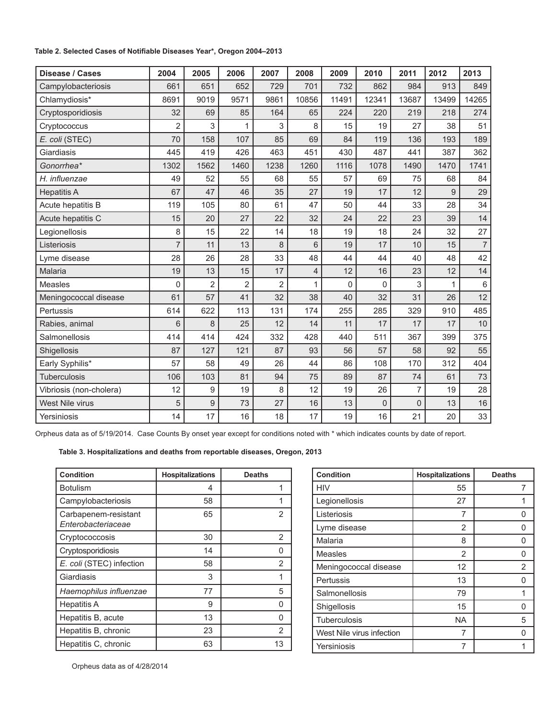### **Table 2. Selected Cases of Notifiable Diseases Year\*, Oregon 2004–2013**

| Disease / Cases         | 2004           | 2005       | 2006           | 2007           | 2008  | 2009         | 2010         | 2011           | 2012         | 2013           |  |
|-------------------------|----------------|------------|----------------|----------------|-------|--------------|--------------|----------------|--------------|----------------|--|
| Campylobacteriosis      | 661            | 651        | 652            | 729            | 701   | 732          | 862          | 984            | 913          | 849            |  |
| Chlamydiosis*           | 8691           | 9019       | 9571           | 9861           | 10856 | 11491        | 12341        | 13687          | 13499        | 14265          |  |
| Cryptosporidiosis       | 32             | 69         | 85             | 164            | 65    | 224          | 220          | 219            | 218          | 274            |  |
| Cryptococcus            | $\overline{2}$ | 3          | 1              | 3              | 8     | 15           | 19           | 27             | 38           | 51             |  |
| E. coli (STEC)          | 70             | 158        | 107            | 85             | 69    | 84           | 119          | 136            | 193          | 189            |  |
| Giardiasis              | 445            | 419        | 426            | 463            | 451   | 430          | 487          | 441            | 387          | 362            |  |
| Gonorrhea*              | 1302           | 1562       | 1460           | 1238           | 1260  | 1116         | 1078         | 1490           | 1470         | 1741           |  |
| H. influenzae           | 49             | 52         | 55             | 68             | 55    | 57           | 69           | 75             | 68           | 84             |  |
| <b>Hepatitis A</b>      | 67             | 47         | 46             | 35             | 27    | 19           | 17           | 12             | 9            | 29             |  |
| Acute hepatitis B       | 119            | 105        | 80             | 61             | 47    | 50           | 44           | 33             | 28           | 34             |  |
| Acute hepatitis C       | 15             | 20         | 27             | 22             | 32    | 24           | 22           | 23             | 39           | 14             |  |
| Legionellosis           | 8              | 15         | 22             | 14             | 18    | 19           | 18           | 24             | 32           | 27             |  |
| Listeriosis             | $\overline{7}$ | 11         | 13             | 8              | 6     | 19           | 17           | 10             | 15           | $\overline{7}$ |  |
| Lyme disease            | 28             | 26         | 28             | 33             | 48    | 44           | 44           | 40             | 48           | 42             |  |
| Malaria                 | 19             | 13         | 15             | 17             | 4     | 12           | 16           | 23             | 12           | 14             |  |
| Measles                 | 0              | 2          | $\overline{2}$ | $\overline{2}$ | 1     | $\mathbf{0}$ | $\mathbf{0}$ | 3              | $\mathbf{1}$ | $\,6\,$        |  |
| Meningococcal disease   | 61             | 57         | 41             | 32             | 38    | 40           | 32           | 31             | 26           | 12             |  |
| Pertussis               | 614            | 622        | 113            | 131            | 174   | 255          | 285          | 329            | 910          | 485            |  |
| Rabies, animal          | 6              | 8          | 25             | 12             | 14    | 11           | 17           | 17             | 17           | 10             |  |
| Salmonellosis           | 414            | 414        | 424            | 332            | 428   | 440          | 511          | 367            | 399          | 375            |  |
| Shigellosis             | 87             | 127        | 121            | 87             | 93    | 56           | 57           | 58             | 92           | 55             |  |
| Early Syphilis*         | 57             | 58         | 49             | 26             | 44    | 86           | 108          | 170            | 312          | 404            |  |
| <b>Tuberculosis</b>     | 106            | 103        | 81             | 94             | 75    | 89           | 87           | 74             | 61           | 73             |  |
| Vibriosis (non-cholera) | 12             | 9          | 19             | 8              | 12    | 19           | 26           | 7              | 19           | 28             |  |
| West Nile virus         | 5              | $\hbox{9}$ | 73             | 27             | 16    | 13           | 0            | $\overline{0}$ | 13           | 16             |  |
| Yersiniosis             | 14             | 17         | 16             | 18             | 17    | 19           | 16           | 21             | 20           | 33             |  |

Orpheus data as of 5/19/2014. Case Counts By onset year except for conditions noted with \* which indicates counts by date of report.

### **Table 3. Hospitalizations and deaths from reportable diseases, Oregon, 2013**

| <b>Condition</b>                           | <b>Hospitalizations</b> | <b>Deaths</b> |
|--------------------------------------------|-------------------------|---------------|
| <b>Botulism</b>                            | 4                       |               |
| Campylobacteriosis                         | 58                      |               |
| Carbapenem-resistant<br>Enterobacteriaceae | 65                      | 2             |
| Cryptococcosis                             | 30                      | 2             |
| Cryptosporidiosis                          | 14                      | O             |
| E. coli (STEC) infection                   | 58                      | 2             |
| Giardiasis                                 | 3                       |               |
| Haemophilus influenzae                     | 77                      | 5             |
| <b>Hepatitis A</b>                         | 9                       | U             |
| Hepatitis B, acute                         | 13                      |               |
| Hepatitis B, chronic                       | 23                      | 2             |
| Hepatitis C, chronic                       | 63                      | 13            |

| <b>Condition</b>          | <b>Hospitalizations</b> | <b>Deaths</b> |
|---------------------------|-------------------------|---------------|
| <b>HIV</b>                | 55                      | 7             |
| Legionellosis             | 27                      |               |
| Listeriosis               | 7                       |               |
| Lyme disease              | 2                       | n             |
| Malaria                   | 8                       | n             |
| <b>Measles</b>            | 2                       |               |
| Meningococcal disease     | 12                      | 2             |
| Pertussis                 | 13                      | n             |
| Salmonellosis             | 79                      |               |
| Shigellosis               | 15                      | n             |
| <b>Tuberculosis</b>       | <b>NA</b>               | 5             |
| West Nile virus infection | 7                       |               |
| Yersiniosis               |                         |               |

Orpheus data as of 4/28/2014